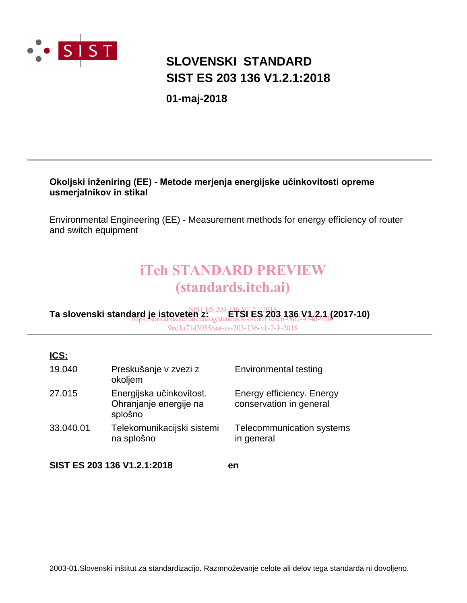

# **SIST ES 203 136 V1.2.1:2018 SLOVENSKI STANDARD**

**01-maj-2018**

#### Okoljski inženiring (EE) - Metode merjenja energijske učinkovitosti opreme **usmerjalnikov in stikal**

Environmental Engineering (EE) - Measurement methods for energy efficiency of router and switch equipment

# iTeh STANDARD PREVIEW (standards.iteh.ai)

#### **Ta slovenski standard je istoveten z: ETSI ES 203 136 V1.2.1 (2017-10)** SIST ES 203 136 V1.2.1:2018 https://standards.iteh.ai/catalog/standards/sist/ad11eac6-0df2-434d-9f0f-9ed1a71d3055/sist-es-203-136-v1-2-1-2018

| ICS:      |                                                               |                                                      |
|-----------|---------------------------------------------------------------|------------------------------------------------------|
| 19.040    | Preskušanje v zvezi z<br>okoljem                              | Environmental testing                                |
| 27.015    | Energijska učinkovitost.<br>Ohranjanje energije na<br>splošno | Energy efficiency. Energy<br>conservation in general |
| 33.040.01 | Telekomunikacijski sistemi<br>na splošno                      | Telecommunication systems<br>in general              |
|           | SIST ES 203 136 V1.2.1:2018                                   | en                                                   |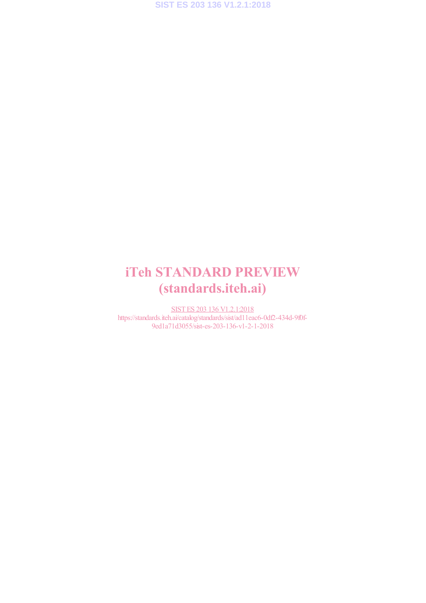# iTeh STANDARD PREVIEW (standards.iteh.ai)

SIST ES 203 136 V1.2.1:2018 https://standards.iteh.ai/catalog/standards/sist/ad11eac6-0df2-434d-9f0f-9ed1a71d3055/sist-es-203-136-v1-2-1-2018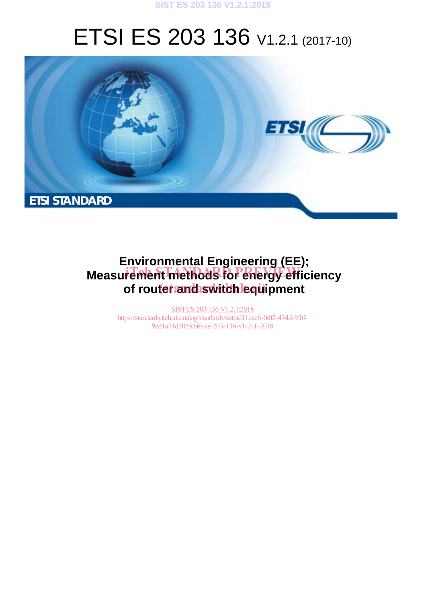

# ETSI ES 203 136 V1.2.1 (2017-10)



# **Environmental Engineering (EE); Measurement methods for energy efficiency** of routet and switch lequipment

SIST ES 203 136 V1.2.1:2018 https://standards.iteh.ai/catalog/standards/sist/ad11eac6-0df2-434d-9f0f-9ed1a71d3055/sist-es-203-136-v1-2-1-2018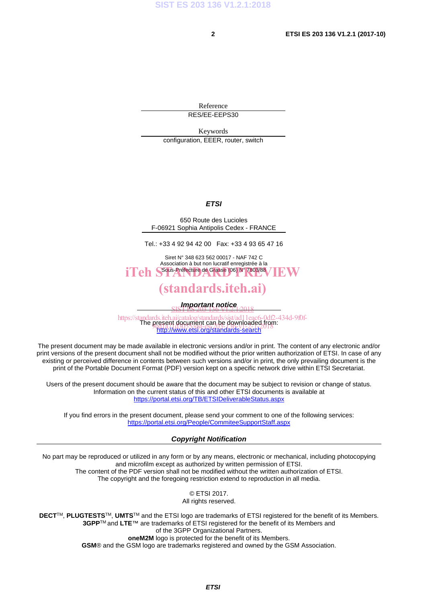Reference RES/EE-EEPS30

Keywords configuration, EEER, router, switch

#### *ETSI*

650 Route des Lucioles F-06921 Sophia Antipolis Cedex - FRANCE

Tel.: +33 4 92 94 42 00 Fax: +33 4 93 65 47 16

Siret N° 348 623 562 00017 - NAF 742 C Association à but non lucratif enregistrée à la iTeh S<sup>ous-Préfecture</sup> de Grasse (06) N° 7803/88 / IEW

### (standards.iteh.ai)

*Important notice*  SIST ES 203 136 V1.2.1:2018

https://standards.iteh.ai/catalog/standards/sist/ad11eac6-0df2-434d-9f0f-<br>The present document can be downloaded from: http://www.etsi.org/standards-search present document can be powinoaded in it<br>9ed 1a. (1990) 2185-c87-135-da-20-2-1-2018

The present document may be made available in electronic versions and/or in print. The content of any electronic and/or print versions of the present document shall not be modified without the prior written authorization of ETSI. In case of any existing or perceived difference in contents between such versions and/or in print, the only prevailing document is the print of the Portable Document Format (PDF) version kept on a specific network drive within ETSI Secretariat.

Users of the present document should be aware that the document may be subject to revision or change of status. Information on the current status of this and other ETSI documents is available at https://portal.etsi.org/TB/ETSIDeliverableStatus.aspx

If you find errors in the present document, please send your comment to one of the following services: https://portal.etsi.org/People/CommiteeSupportStaff.aspx

#### *Copyright Notification*

No part may be reproduced or utilized in any form or by any means, electronic or mechanical, including photocopying and microfilm except as authorized by written permission of ETSI. The content of the PDF version shall not be modified without the written authorization of ETSI. The copyright and the foregoing restriction extend to reproduction in all media.

> © ETSI 2017. All rights reserved.

**DECT**TM, **PLUGTESTS**TM, **UMTS**TM and the ETSI logo are trademarks of ETSI registered for the benefit of its Members. **3GPP**TM and **LTE**™ are trademarks of ETSI registered for the benefit of its Members and of the 3GPP Organizational Partners. **oneM2M** logo is protected for the benefit of its Members.

**GSM**® and the GSM logo are trademarks registered and owned by the GSM Association.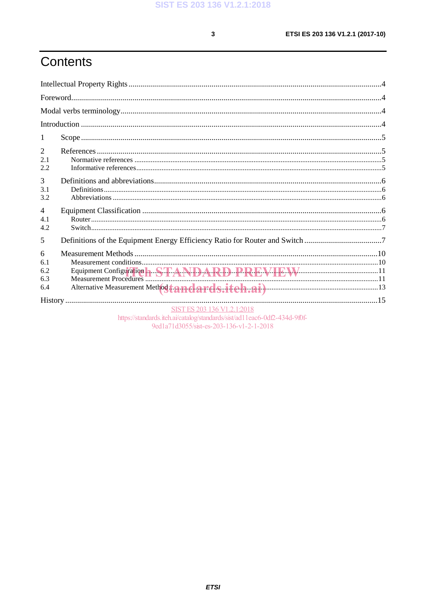$\mathbf{3}$ 

# Contents

| 1                             |                                                                                                          |  |
|-------------------------------|----------------------------------------------------------------------------------------------------------|--|
| 2<br>2.1<br>2.2               |                                                                                                          |  |
| 3<br>3.1<br>3.2               |                                                                                                          |  |
| $\overline{4}$<br>4.1<br>4.2  |                                                                                                          |  |
| 5                             | Definitions of the Equipment Energy Efficiency Ratio for Router and Switch 7                             |  |
| 6<br>6.1<br>6.2<br>6.3<br>6.4 |                                                                                                          |  |
|                               |                                                                                                          |  |
|                               | SIST ES 203 136 V1.2.1:2018<br>https://standards.iteh.ai/catalog/standards/sist/ad11eac6-0df2-434d-9f0f- |  |

9ed1a71d3055/sist-es-203-136-v1-2-1-2018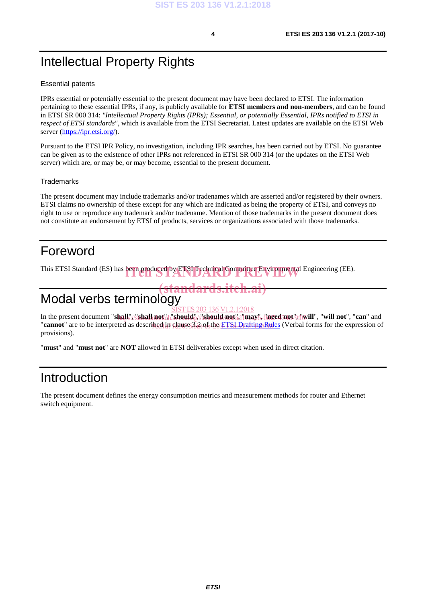# Intellectual Property Rights

#### Essential patents

IPRs essential or potentially essential to the present document may have been declared to ETSI. The information pertaining to these essential IPRs, if any, is publicly available for **ETSI members and non-members**, and can be found in ETSI SR 000 314: *"Intellectual Property Rights (IPRs); Essential, or potentially Essential, IPRs notified to ETSI in respect of ETSI standards"*, which is available from the ETSI Secretariat. Latest updates are available on the ETSI Web server (https://ipr.etsi.org/).

Pursuant to the ETSI IPR Policy, no investigation, including IPR searches, has been carried out by ETSI. No guarantee can be given as to the existence of other IPRs not referenced in ETSI SR 000 314 (or the updates on the ETSI Web server) which are, or may be, or may become, essential to the present document.

#### **Trademarks**

The present document may include trademarks and/or tradenames which are asserted and/or registered by their owners. ETSI claims no ownership of these except for any which are indicated as being the property of ETSI, and conveys no right to use or reproduce any trademark and/or tradename. Mention of those trademarks in the present document does not constitute an endorsement by ETSI of products, services or organizations associated with those trademarks.

## Foreword

This ETSI Standard (ES) has been produced by ETSI Technical Committee Environmental Engineering (EE).

## Modal verbs terminology (standards.iteh.ai)

In the present document "shall;"://shall;not;":h]://should;";"should/not;"ad"may&./"need;not"};{"\will", "will not", "can" and "**cannot**" are to be interpreted as described in clause 3.2 of the ETSI Drafting Rules (Verbal forms for the expression of provisions). 203 136 V1.2.1:2018

"**must**" and "**must not**" are **NOT** allowed in ETSI deliverables except when used in direct citation.

## Introduction

The present document defines the energy consumption metrics and measurement methods for router and Ethernet switch equipment.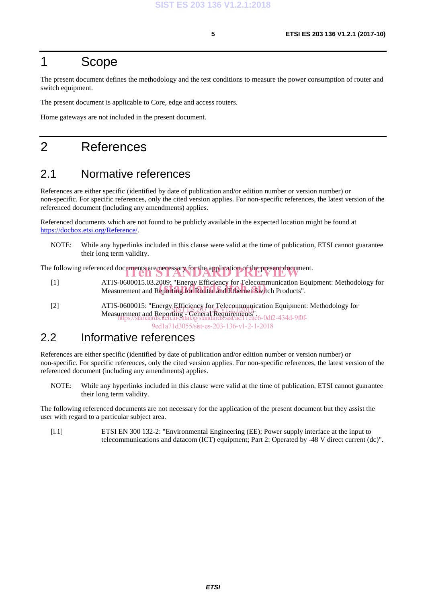## 1 Scope

The present document defines the methodology and the test conditions to measure the power consumption of router and switch equipment.

The present document is applicable to Core, edge and access routers.

Home gateways are not included in the present document.

## 2 References

#### 2.1 Normative references

References are either specific (identified by date of publication and/or edition number or version number) or non-specific. For specific references, only the cited version applies. For non-specific references, the latest version of the referenced document (including any amendments) applies.

Referenced documents which are not found to be publicly available in the expected location might be found at https://docbox.etsi.org/Reference/.

NOTE: While any hyperlinks included in this clause were valid at the time of publication, ETSI cannot guarantee their long term validity.

The following referenced documents are necessary for the application of the present document.

- [1] ATIS-0600015.03.2009: "Energy Efficiency for Telecommunication Equipment: Methodology for ATIS-0600015.03.2009; "Energy Efficiency for Telecommunication Eq<br>Measurement and Reporting for Router and Ethernet Switch Products".
- [2] ATIS-0600015: "Energy Efficiency for Telecommunication Equipment: Methodology for ATIS-0000015: Energy Ethnicial Reporting - Recommunication<br>Measurement and Reporting - General Requirements". https://standards.iteh.ai/catalog/standards/sist/ad11eac6-0df2-434d-9f0f-

9ed1a71d3055/sist-es-203-136-v1-2-1-2018

#### 2.2 Informative references

References are either specific (identified by date of publication and/or edition number or version number) or non-specific. For specific references, only the cited version applies. For non-specific references, the latest version of the referenced document (including any amendments) applies.

NOTE: While any hyperlinks included in this clause were valid at the time of publication, ETSI cannot guarantee their long term validity.

The following referenced documents are not necessary for the application of the present document but they assist the user with regard to a particular subject area.

[i.1] ETSI EN 300 132-2: "Environmental Engineering (EE); Power supply interface at the input to telecommunications and datacom (ICT) equipment; Part 2: Operated by -48 V direct current (dc)".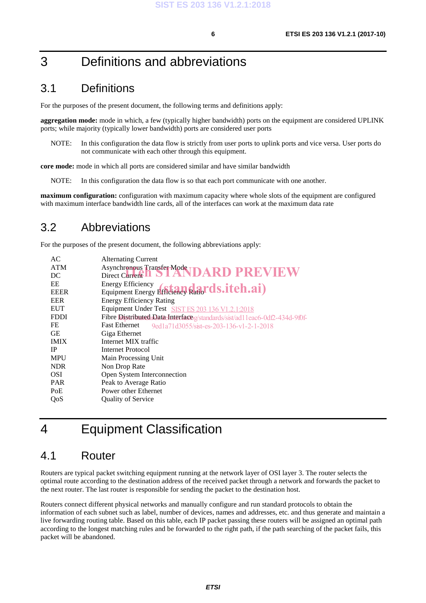## 3 Definitions and abbreviations

#### 3.1 Definitions

For the purposes of the present document, the following terms and definitions apply:

**aggregation mode:** mode in which, a few (typically higher bandwidth) ports on the equipment are considered UPLINK ports; while majority (typically lower bandwidth) ports are considered user ports

NOTE: In this configuration the data flow is strictly from user ports to uplink ports and vice versa. User ports do not communicate with each other through this equipment.

**core mode:** mode in which all ports are considered similar and have similar bandwidth

NOTE: In this configuration the data flow is so that each port communicate with one another.

**maximum configuration:** configuration with maximum capacity where whole slots of the equipment are configured with maximum interface bandwidth line cards, all of the interfaces can work at the maximum data rate

#### 3.2 Abbreviations

For the purposes of the present document, the following abbreviations apply:

| AC          | <b>Alternating Current</b>                                                 |
|-------------|----------------------------------------------------------------------------|
| <b>ATM</b>  | Asynchronous Transfer Mode<br>Direct Current <b>DARD PREVIEW</b>           |
| DC          |                                                                            |
| EE          |                                                                            |
| <b>EEER</b> | Equipment Energy Efficiency Radords.itch.ai)                               |
| <b>EER</b>  | <b>Energy Efficiency Rating</b>                                            |
| <b>EUT</b>  | Equipment Under Test SIST ES 203 136 V1.2.1:2018                           |
| <b>FDDI</b> | Fibre Distributed Data-Interface g/standards/sist/ad11eac6-0df2-434d-9f0f- |
| FE          | <b>Fast Ethernet</b><br>9ed1a71d3055/sist-es-203-136-v1-2-1-2018           |
| GE          | Giga Ethernet                                                              |
| <b>IMIX</b> | Internet MIX traffic                                                       |
| <b>IP</b>   | <b>Internet Protocol</b>                                                   |
| <b>MPU</b>  | Main Processing Unit                                                       |
| <b>NDR</b>  | Non Drop Rate                                                              |
| <b>OSI</b>  | Open System Interconnection                                                |
| <b>PAR</b>  | Peak to Average Ratio                                                      |
| PoE         | Power other Ethernet                                                       |
| QoS         | <b>Quality of Service</b>                                                  |
|             |                                                                            |

# 4 Equipment Classification

#### 4.1 Router

Routers are typical packet switching equipment running at the network layer of OSI layer 3. The router selects the optimal route according to the destination address of the received packet through a network and forwards the packet to the next router. The last router is responsible for sending the packet to the destination host.

Routers connect different physical networks and manually configure and run standard protocols to obtain the information of each subnet such as label, number of devices, names and addresses, etc. and thus generate and maintain a live forwarding routing table. Based on this table, each IP packet passing these routers will be assigned an optimal path according to the longest matching rules and be forwarded to the right path, if the path searching of the packet fails, this packet will be abandoned.